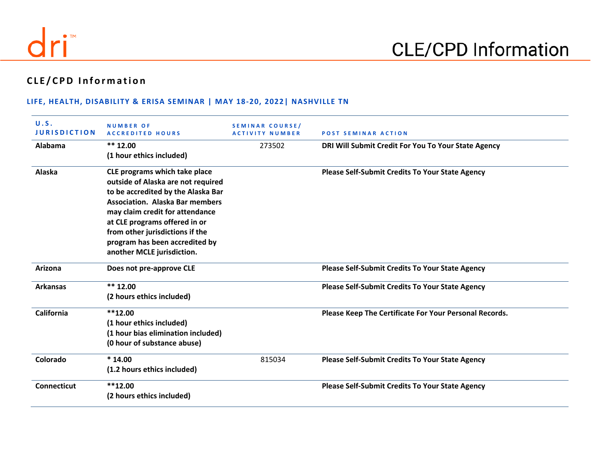

# **CLE /CPD Information**

#### **LIFE, HEALTH, DISABILITY & ERISA SEMINAR | MAY 18-20, 2022| NASHVILLE TN**

| U.S.<br><b>JURISDICTION</b> | <b>NUMBER OF</b><br><b>ACCREDITED HOURS</b> | <b>SEMINAR COURSE/</b><br><b>ACTIVITY NUMBER</b> | <b>POST SEMINAR ACTION</b>                             |
|-----------------------------|---------------------------------------------|--------------------------------------------------|--------------------------------------------------------|
| Alabama                     | $** 12.00$                                  | 273502                                           | DRI Will Submit Credit For You To Your State Agency    |
|                             | (1 hour ethics included)                    |                                                  |                                                        |
| Alaska                      | CLE programs which take place               |                                                  | <b>Please Self-Submit Credits To Your State Agency</b> |
|                             | outside of Alaska are not required          |                                                  |                                                        |
|                             | to be accredited by the Alaska Bar          |                                                  |                                                        |
|                             | <b>Association. Alaska Bar members</b>      |                                                  |                                                        |
|                             | may claim credit for attendance             |                                                  |                                                        |
|                             | at CLE programs offered in or               |                                                  |                                                        |
|                             | from other jurisdictions if the             |                                                  |                                                        |
|                             | program has been accredited by              |                                                  |                                                        |
|                             | another MCLE jurisdiction.                  |                                                  |                                                        |
| Arizona                     | Does not pre-approve CLE                    |                                                  | <b>Please Self-Submit Credits To Your State Agency</b> |
| <b>Arkansas</b>             | $** 12.00$                                  |                                                  | <b>Please Self-Submit Credits To Your State Agency</b> |
|                             | (2 hours ethics included)                   |                                                  |                                                        |
| California                  | $***12.00$                                  |                                                  | Please Keep The Certificate For Your Personal Records. |
|                             | (1 hour ethics included)                    |                                                  |                                                        |
|                             | (1 hour bias elimination included)          |                                                  |                                                        |
|                             | (0 hour of substance abuse)                 |                                                  |                                                        |
| Colorado                    | $*14.00$                                    | 815034                                           | <b>Please Self-Submit Credits To Your State Agency</b> |
|                             | (1.2 hours ethics included)                 |                                                  |                                                        |
| <b>Connecticut</b>          | $***12.00$                                  |                                                  | <b>Please Self-Submit Credits To Your State Agency</b> |
|                             | (2 hours ethics included)                   |                                                  |                                                        |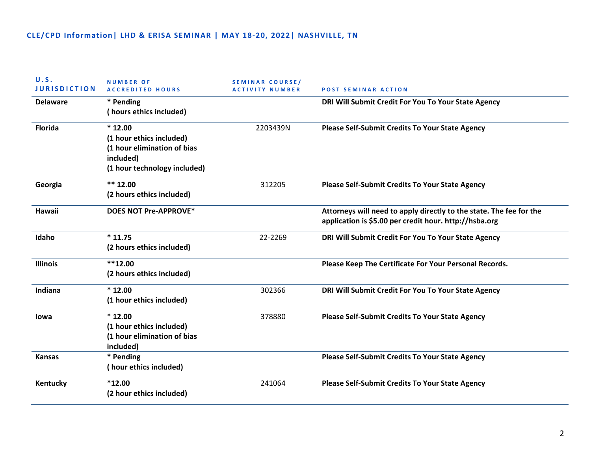| U.S.<br><b>JURISDICTION</b> | <b>NUMBER OF</b><br><b>ACCREDITED HOURS</b> | SEMINAR COURSE/<br><b>ACTIVITY NUMBER</b> | <b>POST SEMINAR ACTION</b>                                          |
|-----------------------------|---------------------------------------------|-------------------------------------------|---------------------------------------------------------------------|
| <b>Delaware</b>             | * Pending<br>(hours ethics included)        |                                           | DRI Will Submit Credit For You To Your State Agency                 |
| <b>Florida</b>              | $*12.00$                                    | 2203439N                                  | <b>Please Self-Submit Credits To Your State Agency</b>              |
|                             | (1 hour ethics included)                    |                                           |                                                                     |
|                             | (1 hour elimination of bias                 |                                           |                                                                     |
|                             | included)                                   |                                           |                                                                     |
|                             | (1 hour technology included)                |                                           |                                                                     |
| Georgia                     | ** $12.00$                                  | 312205                                    | Please Self-Submit Credits To Your State Agency                     |
|                             | (2 hours ethics included)                   |                                           |                                                                     |
| Hawaii                      | <b>DOES NOT Pre-APPROVE*</b>                |                                           | Attorneys will need to apply directly to the state. The fee for the |
|                             |                                             |                                           | application is \$5.00 per credit hour. http://hsba.org              |
| Idaho                       | $*11.75$                                    | 22-2269                                   | DRI Will Submit Credit For You To Your State Agency                 |
|                             | (2 hours ethics included)                   |                                           |                                                                     |
| <b>Illinois</b>             | $**12.00$                                   |                                           | Please Keep The Certificate For Your Personal Records.              |
|                             | (2 hours ethics included)                   |                                           |                                                                     |
| Indiana                     | $*12.00$                                    | 302366                                    | DRI Will Submit Credit For You To Your State Agency                 |
|                             | (1 hour ethics included)                    |                                           |                                                                     |
| lowa                        | $*12.00$                                    | 378880                                    | <b>Please Self-Submit Credits To Your State Agency</b>              |
|                             | (1 hour ethics included)                    |                                           |                                                                     |
|                             | (1 hour elimination of bias                 |                                           |                                                                     |
|                             | included)                                   |                                           |                                                                     |
| <b>Kansas</b>               | * Pending                                   |                                           | <b>Please Self-Submit Credits To Your State Agency</b>              |
|                             | (hour ethics included)                      |                                           |                                                                     |
| Kentucky                    | $*12.00$                                    | 241064                                    | <b>Please Self-Submit Credits To Your State Agency</b>              |
|                             | (2 hour ethics included)                    |                                           |                                                                     |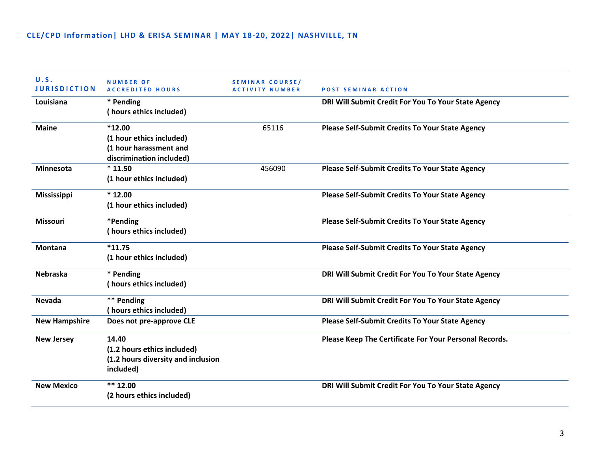| U.S.<br><b>JURISDICTION</b> | <b>NUMBER OF</b><br><b>ACCREDITED HOURS</b> | SEMINAR COURSE/<br><b>ACTIVITY NUMBER</b> | <b>POST SEMINAR ACTION</b>                             |
|-----------------------------|---------------------------------------------|-------------------------------------------|--------------------------------------------------------|
| Louisiana                   | * Pending                                   |                                           | DRI Will Submit Credit For You To Your State Agency    |
|                             | (hours ethics included)                     |                                           |                                                        |
| <b>Maine</b>                | $*12.00$                                    | 65116                                     | <b>Please Self-Submit Credits To Your State Agency</b> |
|                             | (1 hour ethics included)                    |                                           |                                                        |
|                             | (1 hour harassment and                      |                                           |                                                        |
|                             | discrimination included)                    |                                           |                                                        |
| <b>Minnesota</b>            | $*11.50$                                    | 456090                                    | <b>Please Self-Submit Credits To Your State Agency</b> |
|                             | (1 hour ethics included)                    |                                           |                                                        |
| <b>Mississippi</b>          | $*12.00$                                    |                                           | Please Self-Submit Credits To Your State Agency        |
|                             | (1 hour ethics included)                    |                                           |                                                        |
| <b>Missouri</b>             | *Pending                                    |                                           | <b>Please Self-Submit Credits To Your State Agency</b> |
|                             | (hours ethics included)                     |                                           |                                                        |
| <b>Montana</b>              | $*11.75$                                    |                                           | Please Self-Submit Credits To Your State Agency        |
|                             | (1 hour ethics included)                    |                                           |                                                        |
| <b>Nebraska</b>             | * Pending                                   |                                           | DRI Will Submit Credit For You To Your State Agency    |
|                             | (hours ethics included)                     |                                           |                                                        |
| <b>Nevada</b>               | ** Pending                                  |                                           | DRI Will Submit Credit For You To Your State Agency    |
|                             | (hours ethics included)                     |                                           |                                                        |
| <b>New Hampshire</b>        | Does not pre-approve CLE                    |                                           | Please Self-Submit Credits To Your State Agency        |
| <b>New Jersey</b>           | 14.40                                       |                                           | Please Keep The Certificate For Your Personal Records. |
|                             | (1.2 hours ethics included)                 |                                           |                                                        |
|                             | (1.2 hours diversity and inclusion          |                                           |                                                        |
|                             | included)                                   |                                           |                                                        |
| <b>New Mexico</b>           | $** 12.00$                                  |                                           | DRI Will Submit Credit For You To Your State Agency    |
|                             | (2 hours ethics included)                   |                                           |                                                        |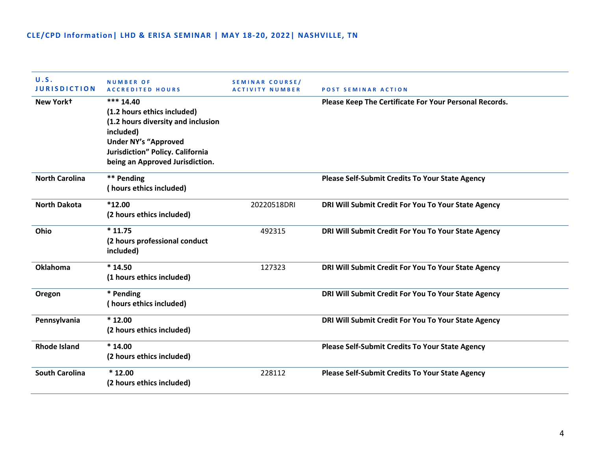| U.S.<br><b>JURISDICTION</b> | <b>NUMBER OF</b><br><b>ACCREDITED HOURS</b>                                                                                                                                                       | SEMINAR COURSE/<br>ACTIVITY NUMBER | <b>POST SEMINAR ACTION</b>                             |
|-----------------------------|---------------------------------------------------------------------------------------------------------------------------------------------------------------------------------------------------|------------------------------------|--------------------------------------------------------|
| New York+                   | *** 14.40<br>(1.2 hours ethics included)<br>(1.2 hours diversity and inclusion<br>included)<br><b>Under NY's "Approved</b><br>Jurisdiction" Policy. California<br>being an Approved Jurisdiction. |                                    | Please Keep The Certificate For Your Personal Records. |
| <b>North Carolina</b>       | ** Pending<br>(hours ethics included)                                                                                                                                                             |                                    | <b>Please Self-Submit Credits To Your State Agency</b> |
| <b>North Dakota</b>         | $*12.00$<br>(2 hours ethics included)                                                                                                                                                             | 20220518DRI                        | DRI Will Submit Credit For You To Your State Agency    |
| Ohio                        | $*11.75$<br>(2 hours professional conduct<br>included)                                                                                                                                            | 492315                             | DRI Will Submit Credit For You To Your State Agency    |
| <b>Oklahoma</b>             | $*14.50$<br>(1 hours ethics included)                                                                                                                                                             | 127323                             | DRI Will Submit Credit For You To Your State Agency    |
| Oregon                      | * Pending<br>(hours ethics included)                                                                                                                                                              |                                    | DRI Will Submit Credit For You To Your State Agency    |
| Pennsylvania                | $*12.00$<br>(2 hours ethics included)                                                                                                                                                             |                                    | DRI Will Submit Credit For You To Your State Agency    |
| <b>Rhode Island</b>         | $*14.00$<br>(2 hours ethics included)                                                                                                                                                             |                                    | <b>Please Self-Submit Credits To Your State Agency</b> |
| <b>South Carolina</b>       | $*12.00$<br>(2 hours ethics included)                                                                                                                                                             | 228112                             | <b>Please Self-Submit Credits To Your State Agency</b> |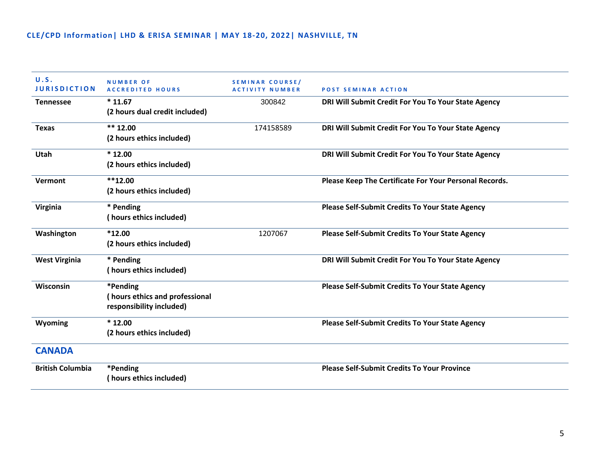| U.S.<br><b>JURISDICTION</b> | <b>NUMBER OF</b><br><b>ACCREDITED HOURS</b> | <b>SEMINAR COURSE/</b><br><b>ACTIVITY NUMBER</b> | <b>POST SEMINAR ACTION</b>                             |
|-----------------------------|---------------------------------------------|--------------------------------------------------|--------------------------------------------------------|
| <b>Tennessee</b>            | $*11.67$                                    | 300842                                           | DRI Will Submit Credit For You To Your State Agency    |
|                             | (2 hours dual credit included)              |                                                  |                                                        |
| <b>Texas</b>                | $** 12.00$                                  | 174158589                                        | DRI Will Submit Credit For You To Your State Agency    |
|                             | (2 hours ethics included)                   |                                                  |                                                        |
| Utah                        | $*12.00$                                    |                                                  | DRI Will Submit Credit For You To Your State Agency    |
|                             | (2 hours ethics included)                   |                                                  |                                                        |
| Vermont                     | $**12.00$                                   |                                                  | Please Keep The Certificate For Your Personal Records. |
|                             | (2 hours ethics included)                   |                                                  |                                                        |
| <b>Virginia</b>             | * Pending                                   |                                                  | Please Self-Submit Credits To Your State Agency        |
|                             | (hours ethics included)                     |                                                  |                                                        |
| Washington                  | $*12.00$                                    | 1207067                                          | <b>Please Self-Submit Credits To Your State Agency</b> |
|                             | (2 hours ethics included)                   |                                                  |                                                        |
| <b>West Virginia</b>        | * Pending                                   |                                                  | DRI Will Submit Credit For You To Your State Agency    |
|                             | (hours ethics included)                     |                                                  |                                                        |
| Wisconsin                   | *Pending                                    |                                                  | Please Self-Submit Credits To Your State Agency        |
|                             | (hours ethics and professional              |                                                  |                                                        |
|                             | responsibility included)                    |                                                  |                                                        |
| Wyoming                     | $*12.00$                                    |                                                  | <b>Please Self-Submit Credits To Your State Agency</b> |
|                             | (2 hours ethics included)                   |                                                  |                                                        |
| <b>CANADA</b>               |                                             |                                                  |                                                        |
| <b>British Columbia</b>     | *Pending                                    |                                                  | <b>Please Self-Submit Credits To Your Province</b>     |
|                             | (hours ethics included)                     |                                                  |                                                        |